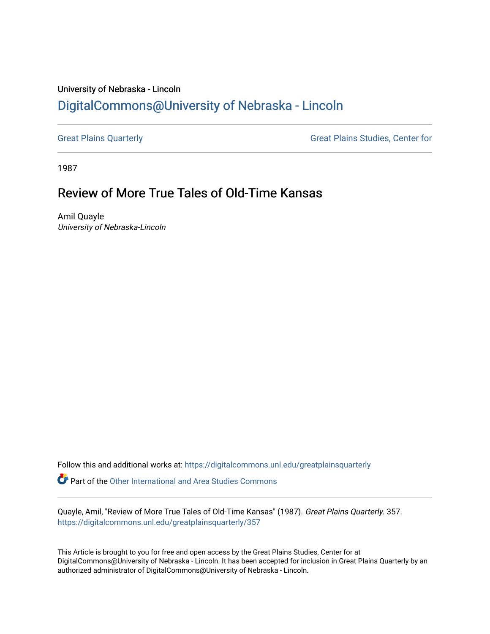## University of Nebraska - Lincoln [DigitalCommons@University of Nebraska - Lincoln](https://digitalcommons.unl.edu/)

[Great Plains Quarterly](https://digitalcommons.unl.edu/greatplainsquarterly) **Great Plains Studies**, Center for

1987

## Review of More True Tales of Old-Time Kansas

Amil Quayle University of Nebraska-Lincoln

Follow this and additional works at: [https://digitalcommons.unl.edu/greatplainsquarterly](https://digitalcommons.unl.edu/greatplainsquarterly?utm_source=digitalcommons.unl.edu%2Fgreatplainsquarterly%2F357&utm_medium=PDF&utm_campaign=PDFCoverPages) **C** Part of the [Other International and Area Studies Commons](http://network.bepress.com/hgg/discipline/365?utm_source=digitalcommons.unl.edu%2Fgreatplainsquarterly%2F357&utm_medium=PDF&utm_campaign=PDFCoverPages)

Quayle, Amil, "Review of More True Tales of Old-Time Kansas" (1987). Great Plains Quarterly. 357. [https://digitalcommons.unl.edu/greatplainsquarterly/357](https://digitalcommons.unl.edu/greatplainsquarterly/357?utm_source=digitalcommons.unl.edu%2Fgreatplainsquarterly%2F357&utm_medium=PDF&utm_campaign=PDFCoverPages) 

This Article is brought to you for free and open access by the Great Plains Studies, Center for at DigitalCommons@University of Nebraska - Lincoln. It has been accepted for inclusion in Great Plains Quarterly by an authorized administrator of DigitalCommons@University of Nebraska - Lincoln.